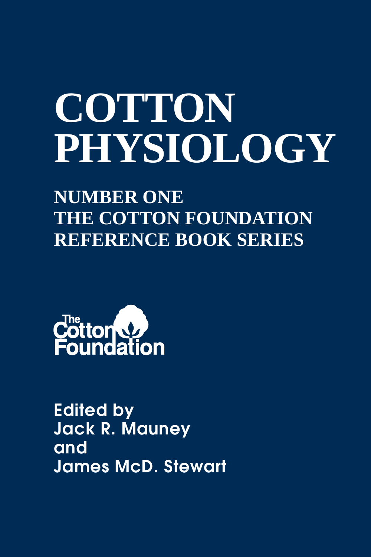# **COTTON PHYSIOLOGY**

**NUMBER ONE THE COTTON FOUNDATION REFERENCE BOOK SERIES**



Edited by Jack R. Mauney and James McD. Stewart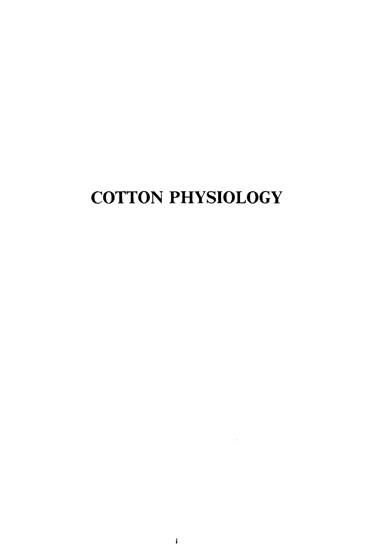# COTTON PHYSIOLOGY

 $\sim 10^{-11}$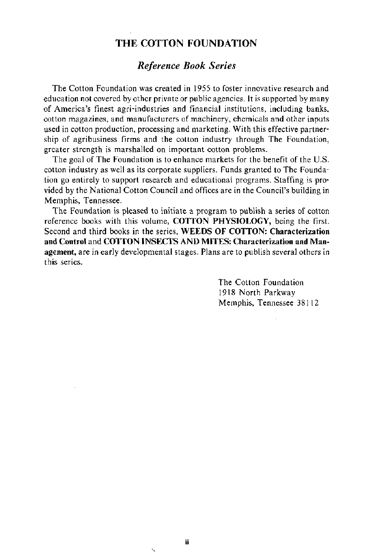## THE COTTON FOUNDATION

## *Reference Book Series*

The Cotton Foundation was created in 1955 to foster innovative research and education not covered by other private or public agencies. It is supported by many of America's finest agri-industries and financial institutions, including banks, cotton magazines, and manufacturers of machinery, chemicals and other inputs used in cotton production, processing and marketing. With this effective partnership of agribusiness firms and the cotton industry through The Foundation, greater strength is marshalled on important cotton problems.

The goal of The Foundation is to enhance markets for the benefit of the U.S. cotton industry as well as its corporate suppliers. Funds granted to The Foundation go entirely to support research and educational programs. Staffing is provided by the National Cotton Council and offices are in the Council's building in Memphis, Tennessee.

The Foundation is pleased to initiate a program to publish a series of cotton reference books with this volume, COTTON PHYSIOLOGY, being the first. Second and third books in the series, WEEDS OF COTTON: Characterization and Control and COTTON INSECTS AND MITES: Characterization and Management, are in early developmental stages. Plans are to publish several others in this series.

> The Cotton Foundation 1918 North Parkway Memphis, Tennessee 38112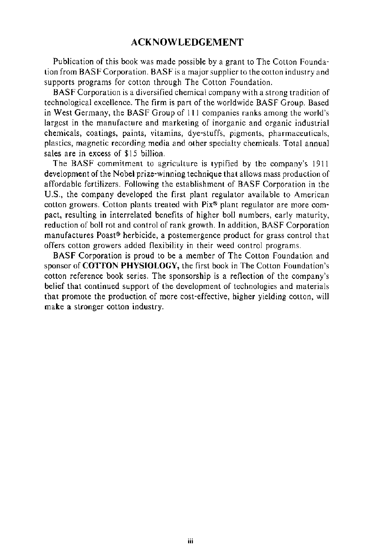## **ACKNOWLEDGEMENT**

Publication of this book was made possible by a grant to The Cotton Foundation from BASF Corporation. BASF is a major supplier to the cotton industry and supports programs for cotton through The Cotton Foundation.

BASF Corporation is a diversified chemical company with a strong tradition of technological excellence. The firm is part of the worldwide BASF Group. Based in West Germany, the BASF Group of Ill companies ranks among the world's largest in the manufacture and marketing of inorganic and organic industrial chemicals, coatings, paints, vitamins, dye-stuffs, pigments, pharmaceuticals, plastics, magnetic recording media and other specialty chemicals. Total annual sales are in excess of \$15 billion.

The BASF commitment to agriculture is typified by the company's 1911 development of the Nobel prize-winning technique that allows mass production of affordable fertilizers. Following the establishment of BASF Corporation in the U.S., the company developed the first plant regulator available to American cotton growers. Cotton plants treated with Pix® plant regulator are more compact, resulting in interrelated benefits of higher boll numbers, early maturity, reduction of boll rot and control of rank growth. In addition, BASF Corporation manufactures Poast® herbicide, a postemergence product for grass control that offers cotton growers added flexibility in their weed control programs.

BASF Corporation is proud to be a member of The Cotton Foundation and sponsor of **COTTON PHYSIOLOGY,** the first book in The Cotton Foundation's cotton reference book series. The sponsorship is a reflection of the company's belief that continued support of the development of technologies and materials that promote the production of more cost-effective, higher yielding cotton, will make a stronger cotton industry.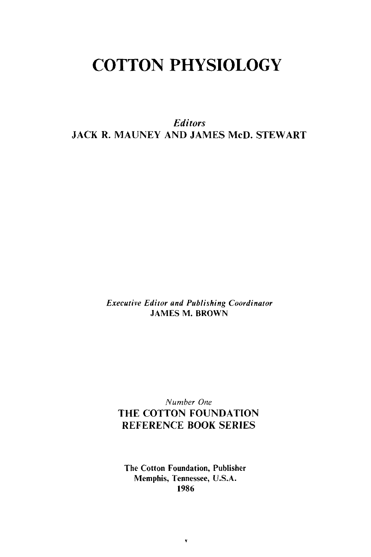# **COTTON PHYSIOLOGY**

*Editors*  JACK R. MAUNEY AND JAMES McD. STEWART

> *Executive Editor and Publishing Coordinator*  JAMES M. BROWN

## *Number One*  THE COTTON FOUNDATION REFERENCE BOOK SERIES

The Cotton Foundation, Publisher Memphis, Tennessee, U.S.A. 1986

 $\pmb{\mathrm{v}}$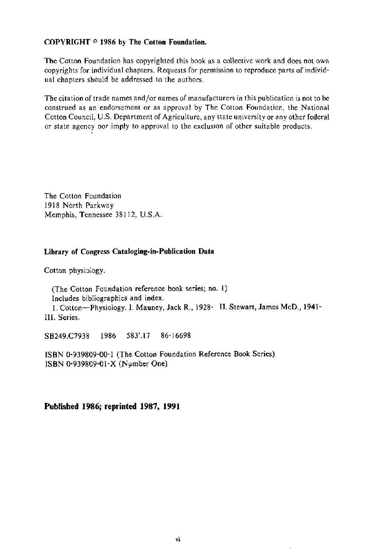#### COPYRIGHT © 1986 by The Cotton Foundation.

The Cotton Foundation has copyrighted this book as a collective work and does not own copyrights for individual chapters. Requests for permission to reproduce parts of individual chapters should be addressed to the authors.

The citation of trade names and/or names of manufacturers in this publication is not to be construed as an endorsement or as approval by The Cotton Foundation, the National Cotton Council, U.S. Department of Agriculture, any state university or any other federal or state agency nor imply to approval to the excluston of other suitable products.

The Cotton Foundation 1918 North Parkway Memphis, Tennessee 38112, U.S.A.

#### Library of Congress Cataloging-in-Publication Data

Cotton physiology.

(The Cotton Foundation reference book series; no. 1) Includes bibliographies and index. 1. Cotton-Physiology. I. Mauney, Jack R., 1928- II. Stewart, James McD., 1941-

Ill. Series.

SB249.C7938 1986 583'.17 86-16698

ISBN 0-939809-00-1 (The Cotton Foundation Reference Book Series) ISBN 0-939809-01-X (Number One)

**Published 1986; reprinted 1987, 1991**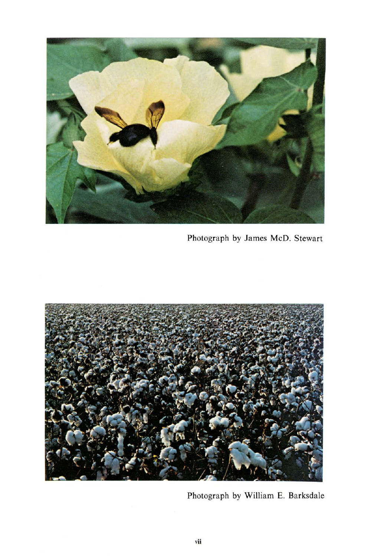

Photograph by James McD. Stewart



Photograph by William E. Barksdale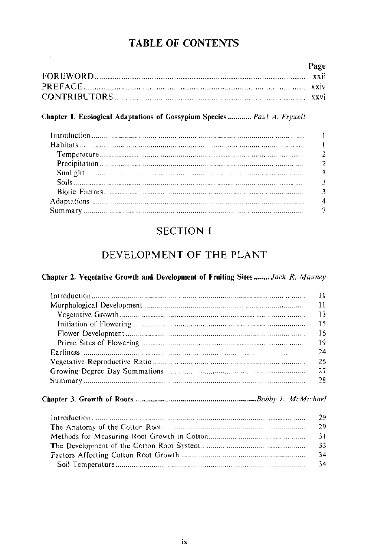## **TABLE OF CONTENTS**

| Page |
|------|
|      |
|      |
|      |

## Chapter 1. Ecological Adaptations of Gossypium Species ............ Paul A. Fryxell

 $\star$ 

## **SECTION I**

## DEVELOPMENT OF THE PLANT

#### Chapter 2. Vegetative Growth and Development of Fruiting Sites........ Jack R. Mauney

| 11 |
|----|
| 11 |
| 13 |
| 15 |
| 16 |
| 19 |
| 24 |
| 26 |
| 27 |
| 28 |
|    |
| 29 |
| 29 |
| 31 |
| 33 |
| 34 |
| 34 |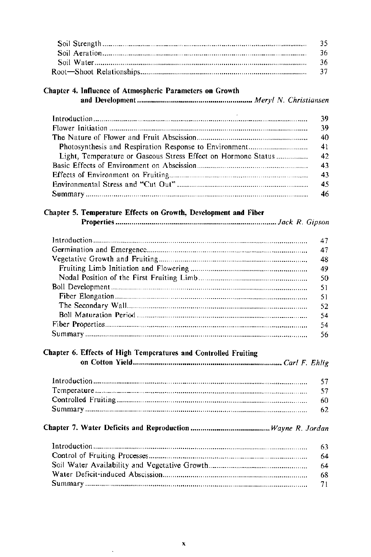| ่าร  |
|------|
| - 36 |
| -36  |
|      |
|      |

## Chapter 4. Influence of Atmospheric Parameters on Growth

|                                                                                                                                                                                                                                | 39  |
|--------------------------------------------------------------------------------------------------------------------------------------------------------------------------------------------------------------------------------|-----|
|                                                                                                                                                                                                                                | 39  |
|                                                                                                                                                                                                                                | 40  |
|                                                                                                                                                                                                                                | 41  |
| Light, Temperature or Gaseous Stress Effect on Hormone Status                                                                                                                                                                  | -42 |
|                                                                                                                                                                                                                                | 43  |
|                                                                                                                                                                                                                                | 43  |
|                                                                                                                                                                                                                                | 45  |
| Summary manufactured and contain the contained and contain and contain and contain and contain and contain and contain and contain and contain and contain and contain and contain and contain and contain and contain and con |     |

#### Chapter 5. Temperature Effects on Growth, Development and Fiber

|--|--|--|--|

| 47  |
|-----|
| 47  |
| 48  |
| 49  |
| 50  |
| 51  |
| -51 |
| 52  |
| 54  |
| 54  |
| 56  |

## Chapter 6. Effects of High Temperatures and Controlled Fruiting

## 

| -63 |
|-----|
| 64  |
|     |
| -68 |
|     |

l,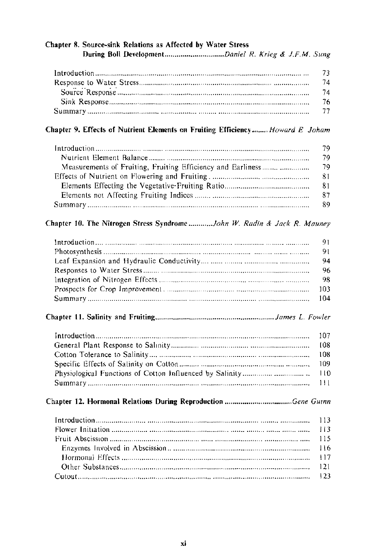## Chapter 8. Source-sink Relations as Affected by Water Stress

| 73. |
|-----|
| 74  |
| 74  |
| 76  |
|     |

#### Chapter 9. Effects of Nutrient Elements on Fruiting Efficiency........ Howard E Joham

| 79. |
|-----|
| 79  |
| 79  |
| 81  |
| 81  |
| 87  |
| 89  |

#### Chapter 10. The Nitrogen Stress Syndrome ............John W. Radin & Jack R. Mauney

| 94 |
|----|
|    |
|    |
|    |
|    |

## 

##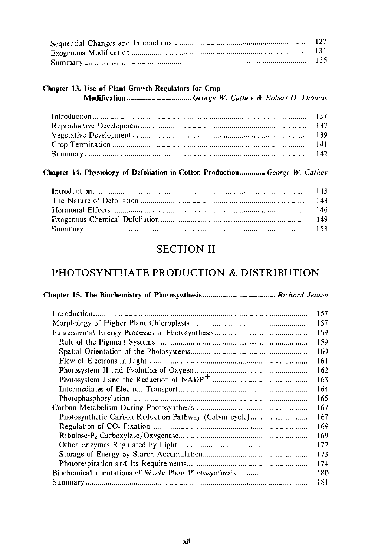| 127.  |
|-------|
| - 131 |
| 135.  |

## Chapter 13. Use of Plant Growth Regulators for Crop

Modification ................................. *George W. Cathey* & *Robert 0. Thomas* 

## Chapter 14. Physiology of Defoliation in Cotton Production ............. *George W. Cathey*

## SECTION II

## PHOTOSYNTHATE PRODUCTION & DISTRIBUTION

## Chapter 15. The Biochemistry of Photosynthesis ..................................... *Richard Jensen*

| 157 |
|-----|
| 157 |
| 159 |
| 159 |
| 160 |
| 161 |
| 162 |
| 163 |
| 164 |
| 165 |
| 167 |
| 167 |
| 169 |
| 169 |
| 172 |
| 173 |
| 174 |
| 180 |
| 181 |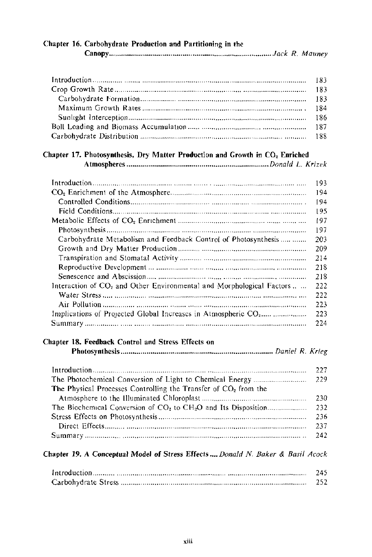|  | Chapter 16. Carbohydrate Production and Partitioning in the |  |
|--|-------------------------------------------------------------|--|
|  |                                                             |  |

## Chapter 17. Photosynthesis, Dry Matter Production and Growth in CO, Enriched

Atmospheres *........................................................................ Donald* L. *Krizek* 

|                                                                           | 193  |
|---------------------------------------------------------------------------|------|
|                                                                           | 194  |
|                                                                           | 194  |
|                                                                           | 195  |
|                                                                           | 197  |
|                                                                           | 197  |
| Carbohydrate Metabolism and Feedback Control of Photosynthesis            | 203  |
|                                                                           | 209  |
|                                                                           | 214  |
|                                                                           | 218  |
|                                                                           | 218  |
| Interaction of $CO2$ and Other Environmental and Morphological Factors    | 222  |
|                                                                           | 222  |
|                                                                           | 22.3 |
| Implications of Projected Global Increases in Atmospheric CO <sub>2</sub> | 223  |
|                                                                           | 224  |
|                                                                           |      |

## Chapter 18. Feedback Control and Stress Effects on

Photosynthesis ............................................................................. *Daniel R. Krieg* 

| The Physical Processes Controlling the Transfer of $CO2$ from the |       |
|-------------------------------------------------------------------|-------|
|                                                                   |       |
|                                                                   |       |
|                                                                   |       |
|                                                                   | - 237 |
|                                                                   |       |

## Chapter 19. A Conceptual Model of Stress Effects .... *Donald* N. *Baker* & *Basil A cock*

| 245 |
|-----|
| 252 |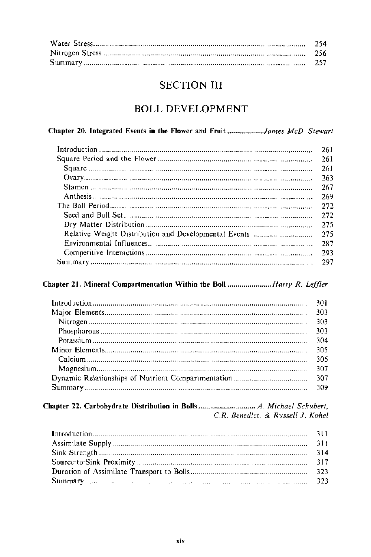| - 254   |
|---------|
| - 256   |
| - 257 - |

## **SECTION III**

## **BOLL DEVELOPMENT**

## Chapter 20. Integrated Events in the Flower and Fruit ...................James McD. Stewart

| 261 |
|-----|
| 261 |
| 261 |
| 263 |
| 267 |
| 269 |
| 272 |
| 272 |
| 275 |
| 275 |
| 287 |
| 293 |
| 297 |

## Chapter 21. Mineral Compartmentation Within the Boll ........................Harry R. Leffler

| 301 |
|-----|
| 303 |
| 303 |
| 303 |
| 304 |
| 305 |
| 305 |
| 307 |
|     |
|     |

#### C.R. Benedict, & Russell J. Kohel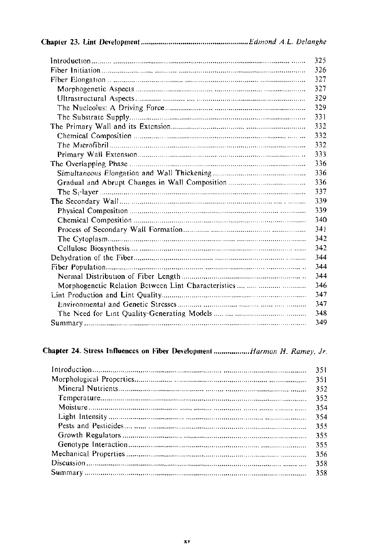|--|--|

|                                                     | 325 |
|-----------------------------------------------------|-----|
|                                                     | 326 |
|                                                     | 327 |
|                                                     | 327 |
|                                                     | 329 |
|                                                     | 329 |
|                                                     | 331 |
|                                                     | 332 |
|                                                     | 332 |
|                                                     | 332 |
|                                                     | 333 |
|                                                     | 336 |
|                                                     | 336 |
|                                                     | 336 |
|                                                     | 337 |
|                                                     | 339 |
|                                                     | 339 |
|                                                     | 340 |
|                                                     | 341 |
|                                                     | 342 |
|                                                     | 342 |
|                                                     | 344 |
|                                                     | 344 |
|                                                     | 344 |
| Morphogenetic Relation Between Lint Characteristics | 346 |
|                                                     | 347 |
|                                                     | 347 |
|                                                     | 348 |
|                                                     | 349 |
|                                                     |     |

## Chapter 24. Stress Influences on Fiber Development ..................Harmon H. Ramey, Jr.

| 351  |
|------|
| 351  |
| 352  |
| 352  |
| 354  |
| 354  |
| 355  |
| 355  |
| 355  |
| -356 |
|      |
|      |
|      |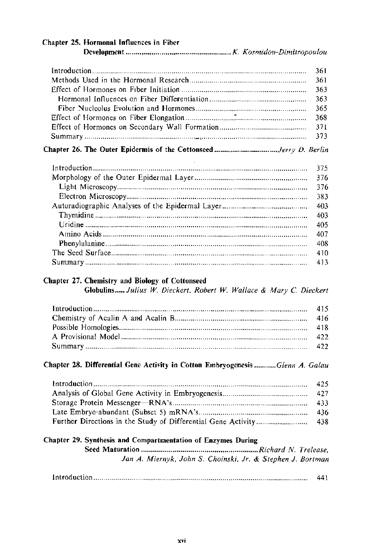| Chapter 25. Hormonal Influences in Fiber |     |
|------------------------------------------|-----|
|                                          |     |
|                                          | 361 |
|                                          | 361 |
|                                          | 363 |
|                                          | 363 |
|                                          | 365 |
|                                          | 368 |
|                                          | 371 |
|                                          | 373 |
|                                          |     |
|                                          | 375 |
|                                          | 376 |
|                                          | 376 |
|                                          | 383 |
|                                          | 403 |
|                                          | 403 |
|                                          | 405 |
|                                          | 407 |
|                                          | 408 |
|                                          | 410 |

## Summary . . .. .. .. .. . .. .. . .. .. . .. .. . . . .. .. . . . .. .. . .. .. . .. . . .. . . . .. . . . .. . . . .. .. . .. .. . . . .. .. . .. .. . .. . . . . . .. . . . .. .. . .. .. . .. .. 413

## Chapter 27. Chemistry and Biology of Cottonseed

Globulins ..... *Julius W. Dieckert, Robert W. Wallace* & *Mary* C. *Dieckert* 

## Chapter 28. Differential Gene Activity in Cotton Emhryogenesis *........... Glenn A. Galau*

## Chapter 29. Synthesis and Compartmentation of Enzymes During

Seed Maturation *........................................................... Richard N. Trelease, Jan A. Miernyk, John* S. *Choinski, Jr.* & *Stephen J. Bartman* 

|--|--|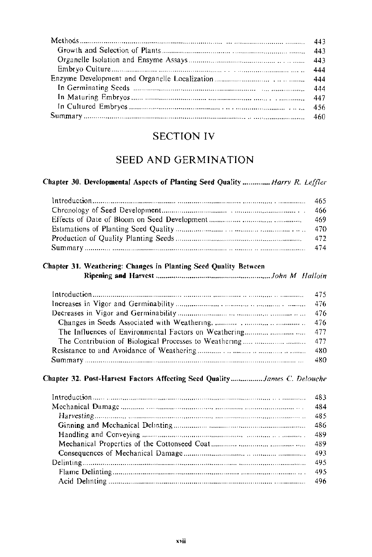## **SECTION IV**

## SEED AND GERMINATION

#### Chapter 30. Developmental Aspects of Planting Seed Quality .............. Harry R. Leffler

| 1.05 http://www.marror.com/marror.com/marror.com/marror.com/marror.com/marror.com/marror.com/marror.com/marror |  |
|----------------------------------------------------------------------------------------------------------------|--|
|                                                                                                                |  |
|                                                                                                                |  |
|                                                                                                                |  |
|                                                                                                                |  |
|                                                                                                                |  |

#### Chapter 31. Weathering: Changes in Planting Seed Quality Between

#### 

#### Chapter 32. Post-Harvest Factors Affecting Seed Quality.................James C. Delouche

| -484 |
|------|
|      |
|      |
|      |
|      |
|      |
|      |
|      |
|      |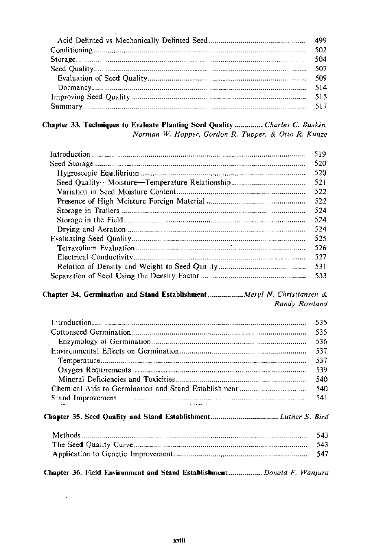| -502. |
|-------|
|       |
| 507   |
| -509  |
|       |
|       |
|       |

## Chapter 33. Techniques to Evaluate Planting Seed Quality .............. Charles C. Baskin, Norman W. Hopper, Gordon R. Tupper, & Otto R. Kunze

| 519 |
|-----|
| 520 |
| 520 |
| 521 |
| 522 |
| 522 |
| 524 |
| 524 |
| 524 |
| 525 |
| 526 |
| 527 |
| 531 |
| 533 |

## Chapter 34. Germination and Stand Establishment................... Meryl N. Christiansen & Randy Rowland

|                                                                          | 535 |
|--------------------------------------------------------------------------|-----|
|                                                                          | 535 |
|                                                                          | 536 |
|                                                                          | 537 |
|                                                                          | 537 |
|                                                                          | 539 |
|                                                                          | 540 |
|                                                                          | 540 |
|                                                                          | 541 |
|                                                                          |     |
|                                                                          | 543 |
|                                                                          | 543 |
|                                                                          | 547 |
| Chapter 36. Field Environment and Stand Establishment  Donald F. Wanjura |     |

 $\omega$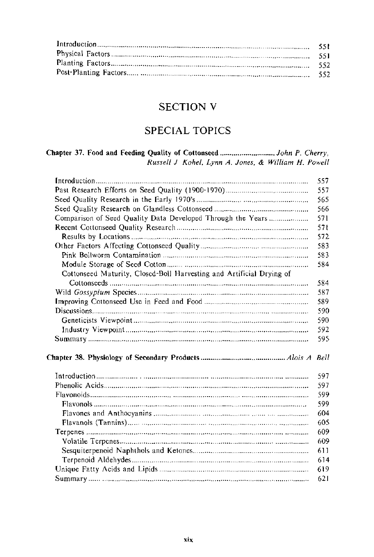| - 551 |
|-------|
| - 551 |
|       |
| - 552 |
|       |

## **SECTION V**

## **SPECIAL TOPICS**

#### Russell J Kohel, Lynn A. Jones, & William H. Powell

|                                                                      | 557. |
|----------------------------------------------------------------------|------|
|                                                                      | 557  |
|                                                                      | 565  |
|                                                                      | 566  |
| Comparison of Seed Quality Data Developed Through the Years          | 571  |
|                                                                      | 57 L |
|                                                                      | 572  |
|                                                                      | 583  |
|                                                                      | 583  |
|                                                                      | 584  |
| Cottonseed Maturity, Closed-Boll Harvesting and Artificial Drying of |      |
|                                                                      | 584  |
|                                                                      | 587  |
|                                                                      | 589  |
|                                                                      | 590  |
|                                                                      | 590  |
|                                                                      |      |
|                                                                      | 592  |
|                                                                      | 595  |
|                                                                      |      |
|                                                                      |      |
|                                                                      | 597  |
|                                                                      | 597  |
|                                                                      | 599  |
|                                                                      | 599  |
|                                                                      | 604  |
|                                                                      | 605  |
|                                                                      | 609  |
|                                                                      | 609  |
|                                                                      | 611  |
|                                                                      | 614  |
|                                                                      | 619  |
|                                                                      | 621  |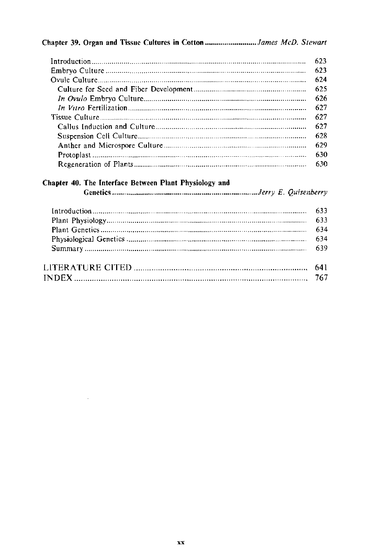## Chapter 39. Organ and Tissue Cultures in Cotton ...........................James McD. Stewart

| 623   |
|-------|
| - 623 |
| 624   |
|       |
| - 626 |
|       |
| - 627 |
| 627   |
| 628   |
| 629   |
| 630   |
| 630   |

## Chapter 40. The Interface Between Plant Physiology and

i,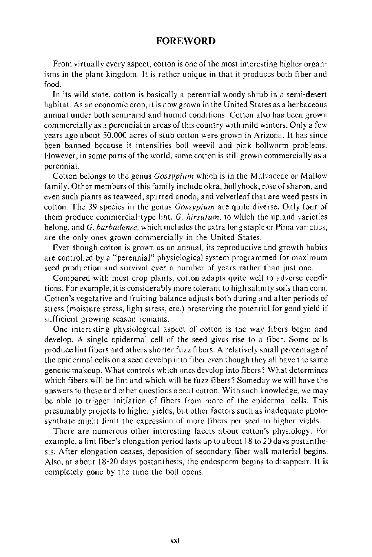## **FOREWORD**

From virtually every aspect, cotton is one of the most interesting higher organisms in the plant kingdom. Jt is rather unique in that it produces both fiber and food.

In its wild state, cotton is basically a perennial woody shrub in a semi-desert habitat. As an economic crop, it is now grown in the United States as a herbaceous annual under both semi-arid and humid conditions. Cotton also has been grown commercially as a perennial in areas of this country with mild winters. Only a few years ago about 50,000 acres of stub cotton were grown in Arizona. It has since been banned because it intensifies boll weevil and pink bollworm problems. However, in some parts of the world, some cotton is still grown commercially as a perennial.

Cotton belongs to the genus *Gossypium* which is in the Malvaceae or Mallow family. Other members of this family include okra, hollyhock, rose of sharon, and even such plants as tea weed, spurred anoda, and velvetleaf that are weed pests in cotton. The 39 species in the genus *Gossypium* are quite diverse. Only four of them produce commercial-type lint. *G. hirsutum,* to which the upland varieties belong, and *G. barbadense,* which includes the extra long staple or Pima varieties, are the only ones grown commercially in the United States.

Even though cotton is grown as an annual, its reproductive and growth habits are controlled by a "perennial" physiological system programmed for maximum seed production and survival over a number of years rather than just one.

Compared with most crop plants, cotton adapts quite well to adverse conditions. For example, it is considerably more tolerant to high salinity soils than corn. Cotton's vegetative and fruiting balance adjusts both during and after periods of stress (moisture stress, light stress, etc.) preserving the potential for good yield if sufficient growing season remains.

One interesting physiological aspect of cotton is the way fibers begin and develop. A single epidermal cell of the seed gives rise to a fiber. Some cells produce lint fibers and others shorter fuzz fibers. A relatively small percentage of the epidermal cells on a seed develop into fiber even though they all have the same genetic makeup. What controls which ones develop into fibers? What determines which fibers will be lint and which will be fuzz fibers? Someday we will have the answers to these and other questions about cotton. With such knowledge, we may be able to trigger initiation of fibers from more of the epidermal cells. This presumably projects to higher yields, but other factors such as inadequate photosynthate might limit the expression of more fibers per seed to higher yields.

There are numerous other interesting facets about cotton's physiology. For example, a lint fiber's elongation period lasts up to about 18 to 20 days postanthesis. After elongation ceases, deposition of secondary fiber wall material begins. Also, at about 18-20 days postanthesis, the endosperm begins to disappear. It is completely gone by the time the boll opens.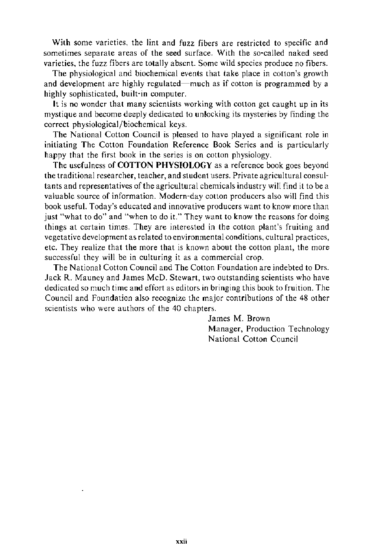With some varieties, the lint and fuzz fibers are restricted to specific and sometimes separate areas of the seed surface. With the so-called naked seed varieties, the fuzz fibers are totally absent. Some wild species produce no fibers.

The physiological and biochemical events that take place in cotton's growth and development are highly regulated—much as if cotton is programmed by a highly sophisticated, built-in computer.

It is no wonder that many scientists working with cotton get caught up in its mystique and become deeply dedicated to unlocking its mysteries by finding the correct physiological/biochemical keys.

The National Cotton Council is pleased to have played a significant role in initiating The Cotton Foundation Reference Book Series and is particularly happy that the first book in the series is on cotton physiology.

The usefulness of COTTON PHYSIOLOGY as a reference book goes beyond the traditional researcher, teacher, and student users. Private agricultural consultants and representatives of the agricultural chemicals industry will find it to be a valuable source of information. Modern-day cotton producers also will find this book useful. Today's educated and innovative producers want to know more than just "what to do" and "when to do it." They want to know the reasons for doing things at certain times. They are interested in the cotton plant's fruiting and vegetative development as related to environmental conditions, cultural practices, etc. They realize that the more that is known about the cotton plant, the more successful they will be in culturing it as a commercial crop.

The National Cotton Council and The Cotton Foundation are indebted to Drs. Jack R. Mauney and James McD. Stewart, two outstanding scientists who have dedicated so much time and effort as editors in bringing this book to fruition. The Council and Foundation also recognize the major contributions of the 48 other scientists who were authors of the 40 chapters.

> James M. Brown Manager, Production Technology National Cotton Council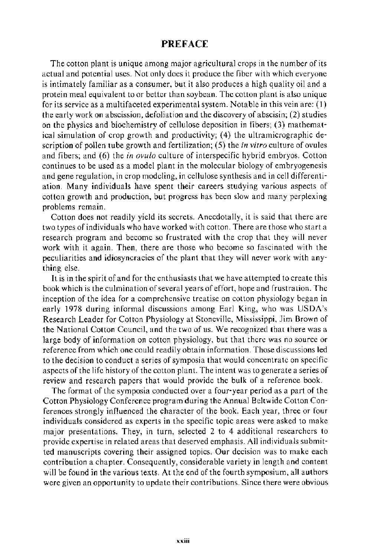## **PREFACE**

The cotton plant is unique among major agricultural crops in the number of its actual and potential uses. Not only does it produce the fiber with which everyone is intimately familiar as a consumer, but it also produces a high quality oil and a protein meal equivalent to or better than soybean. The cotton plant is also unique for its service as a multifaceted experimental system. Notable in this vein are: (I) the early work on abscission, defoliation and the discovery of abscisin; (2) studies on the physics and biochemistry of cellulose deposition in fibers; (3) mathematical simulation of crop growth and productivity; (4) the ultramicrographic description of pollen tube growth and fertilization; (5) the *in vitro* culture of ovules and fibers; and (6) the *in ovulo* culture of interspecific hybrid embryos. Cotton continues to be used as a model plant in the molecular biology of embryogenesis and gene regulation, in crop modeling, in cellulose synthesis and in cell differentiation. Many individuals have spent their careers studying various aspects of cotton growth and production, but progress has been slow and many perplexing problems remain.

Cotton does not readily yield its secrets. Anecdotally, it is said that there are two types of individuals who have worked with cotton. There are those who start a research program and become so frustrated with the crop that they will never work with it again. Then, there are those who become so fascinated with the peculiarities and idiosyncracies of the plant that they will never work with anything else.

It is in the spirit of and for the enthusiasts that we have attempted to create this book which is the culmination of several years of effort, hope and frustration. The inception of the idea for a comprehensive treatise on cotton physiology began in early 1978 during informal discussions among Earl King, who was USDA's Research Leader for Cotton Physiology at Stoneville, Mississippi, Jim Brown of the National Cotton Council, and the two of us. We recognized that there was a large body of information on cotton physiology, but that there was no source or reference from which one could readily obtain information. Those discussions led to the decision to conduct a series of symposia that would concentrate on specific aspects of the life history of the cotton plant. The intent was to generate a series of review and research papers that would provide the bulk of a reference book.

The format of the symposia conducted over a four-year period as a part of the Cotton Physiology Conference program during the Annual Beltwide Cotton Conferences strongly influenced the character of the book. Each year, three or four individuals considered as experts in the specific topic areas were asked to make major presentations. They, in turn, selected 2 to 4 additional researchers to provide expertise in related areas that deserved emphasis. All individuals submitted manuscripts covering their assigned topics. Our decision was to make each contribution a chapter. Consequently, considerable variety in length and content will be found in the various texts. At the end of the fourth symposium, all authors were given an opportunity to update their contributions. Since there were obvious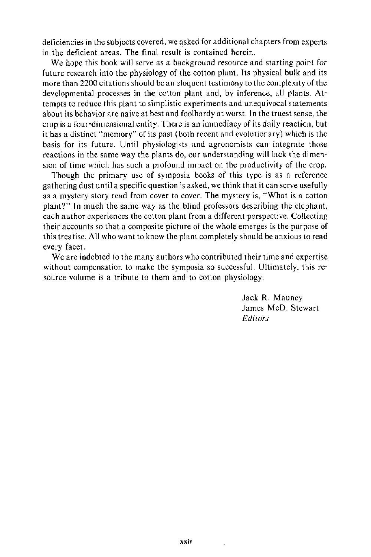deficiencies in the subjects covered, we asked for additional chapters from experts in the deficient areas. The final result is contained herein.

We hope this book will serve as a background resource and starting point for future research into the physiology of the cotton plant. Its physical bulk and its more than 2200 citations should be an eloquent testimony to the complexity of the developmental processes in the cotton plant and, by inference, all plants. Attempts to reduce this plant to simplistic experiments and unequivocal statements about its behavior are naive at best and foolhardy at worst. In the truest sense, the crop is a four-dimensional entity. There is an immediacy of its daily reaction, but it has a distinct "memory" of its past (both recent and evolutionary) which is the basis for its future. Until physiologists and agronomists can integrate those reactions in the same way the plants do, our understanding will lack the dimension of time which has such a profound impact on the productivity of the crop.

Though the primary use of symposia books of this type is as a reference gathering dust until a specific question is asked, we think that it can serve usefully as a mystery story read from cover to cover. The mystery is, "What is a cotton plant?" In much the same way as the blind professors describing the elephant, each author experiences the cotton plant from a different perspective. Collecting their accounts so that a composite picture of the whole emerges is the purpose of this treatise. All who want to know the plant completely should be anxious to read every facet.

We are indebted to the many authors who contributed their time and expertise without compensation to make the symposia so successful. Ultimately, this resource volume is a tribute to them and to cotton physiology.

> Jack R. Mauney James McD. Stewart *Editors*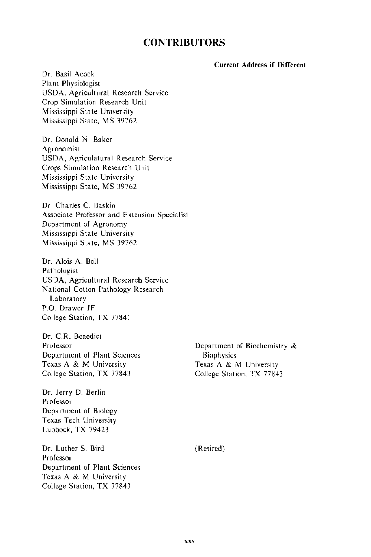## **CONTRIBUTORS**

#### **Current Address if Different**

Dr. Basil Acock Plant Physiologist USDA. Agricultural Research Service Crop Simulation Research Unit Mississippi State Umversity Mississippi State, MS 39762

Dr. Donald N Baker Agronomist USDA, Agriculatural Research Service Crops Simulation Research Unit Mississippi State University Mississippi State, MS 39762

Dr Charles C. Baskin Associate Professor and Extension Specialist Department of Agronomy Mississippi State University Mississippi State, MS 39762

Dr. Alois A. Bell Pathologist USDA, Agricultural Research Service National Cotton Pathology Research Laboratory P.O. Drawer **JF**  College Station, TX 77841

Dr. C.R. Benedict Professor Department of Plant Sciences Texas A & M University College Station, TX 77843

Dr. Jerry D. Berlin Professor Department of Biology Texas Tech University Lubbock, TX 79423

Dr. Luther S. Bird Professor Department of Plant Sciences Texas A & M University College Station, TX 77843

Department of Biochemistry & **Biophysics** Texas A & M University College Station, TX 77843

(Retired)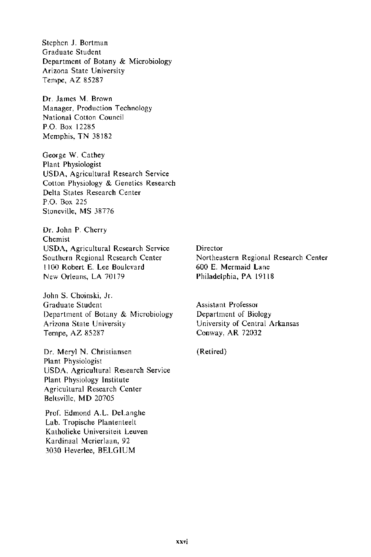Stephen J. Bartman Graduate Student Department of Botany & Microbiology Arizona State University Tempe, AZ 85287

Dr. James M. Brown Manager, Production Technology National Cotton Council P.O. Box 12285 Memphis, TN 38182

George W. Cathey Plant Physiologist USDA, Agricultural Research Service Cotton Physiology & Genetics Research Delta States Research Center P.O. Box 225 Stoneville, MS 38776

Dr. John P. Cherry Chemist USDA, Agricultural Research Service Southern Regional Research Center II 00 Robert E. Lee Boulevard New Orleans, LA 70179

John S. Choinski, Jr. Graduate Student Department of Botany & Microbiology Arizona State University Tempe, AZ 85287

Dr. Meryl N. Christiansen Plant Physiologist USDA, Agricultural Research Service Plant Physiology Institute Agricultural Research Center Beltsville, MD 20705

Prof. Edmond A.L. DeLanghe Lab. Tropische Plantenteelt Katholieke Universiteit Leuven Kardinaal Merierlaan, 92 3030 Heverlee, BELGIUM

**Director** Northeastern Regional Research Center 600 E. Mermaid Lane Philadelphia, PA 19118

Assistant Professor Department of Biology University of Central Arkansas Conway, AR 72032

(Retired)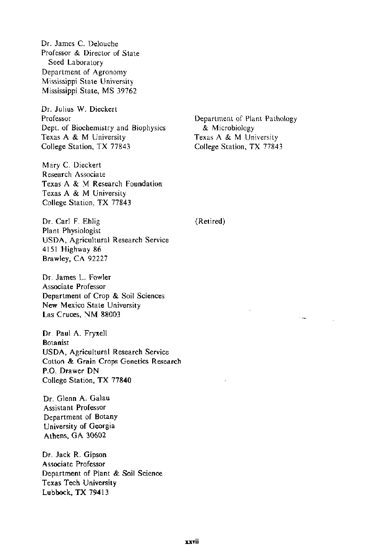Professor & Director of State Seed Laboratory Department of Agronomy Mississippi State University Mississippi State, MS 39762

Dr. James C. Delouche

Dr. Julius W. Dieckert Professor Dept. of Biochemistry and Biophysics Texas A & M University College Station, TX 77843

Mary C. Dieckert Research Associate Texas A & M Research Foundation Texas A & M University College Station, TX 77843

Department of Plant Pathology & Microbiology Texas A & M University College Station, TX 77843

(Retired)

Dr. Carl F. Ehlig Plant Physiologist USDA, Agricultural Research Service 4151 Highway 86 Brawley, CA 92227

Dr. James L. Fowler Associate Professor Department of Crop & Soil Sciences New Mexico State University Las Cruces, NM 88003

Dr. Paul A. Fryxell Botanist USDA, Agricultural Research Service Cotton & Grain Crops Genetics Research P.O. Drawer DN College Station, TX 77840

Dr. Glenn A. Galau Assistant Professor Department of Botany University of Georgia Athens, GA 30602

Dr. Jack R. Gipson Associate Professor Department of Plant & Soil Science Texas Tech University Lubbock, TX 79413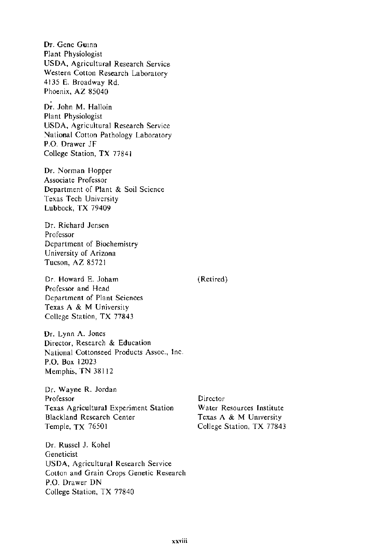Dr. Gene Gumn Plant Physiologist USDA, Agricultural Research Service Western Cotton Research Laboratory 4135 E. Broadway Rd. Phoenix, AZ 85040

Dr. John M. Halloin Plant Physiologist USDA, Agricultural Research Service National Cotton Pathology Laboratory P.O. Drawer JF College Station, TX 77841

Dr. Norman Hopper Associate Professor Department of Plant & Soil Science Texas Tech University Lubbock, TX 79409

Dr. Richard Jensen Professor Department of Biochemistry University of Arizona Tucson, AZ 85721

Dr. Howard E. Joham Professor and Head Department of Plant Sciences Texas A & M University College Station, TX 77843

Dr. Lynn A. Jones Director, Research & Education National Cottonseed Products Assoc., Inc. P.O. Box 12023 Memphis, TN 38112

Dr. Wayne R. Jordan Professor Texas Agricultural Experiment Station Blackland Research Center Temple, TX 76501

Dr. Russel J. Kohel Geneticist USDA, Agricultural Research Service Cotton and Grain Crops Genetic Research P.O. Drawer DN College Station, TX 77840

**Director** Water Resources Institute Texas A & M Umversity College Station, TX 77843

(Retired)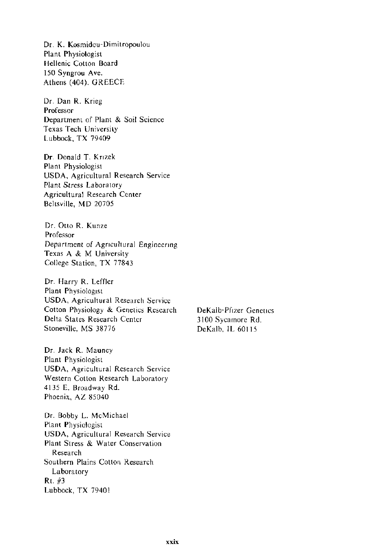Dr. K. Kosmidou-Dimitropoulou Plant Physiologist Hellenic Cotton Board !50 Syngrou Ave. Athens (404). GREECE

Dr. Dan R. Krieg Professor Department of Plant & Soil Science Texas Tech University Lubbock, TX 79409

Dr. Donald T. Knzek Plant Physiologist USDA, Agricultural Research Service Plant Stress Laboratory Agricultural Research Center Beltsville, MD 20705

Dr. Otto R. Kunze Professor Department of Agncultural Engineenng Texas A & M University College Station, TX 77843

Dr. Harry R. Leffler Plant Physiologist USDA, Agricultural Research Service Cotton Physiology & Genetics Research Delta States Research Center Stoneville, MS 38776

Dr. Jack R. Mauney Plant Physiologist USDA, Agricultural Research Service Western Cotton Research Laboratory 4135 E. Broadway Rd. Phoenix, AZ 85040

Dr. Bobby L. McMichael Plant Physiologist USDA, Agricultural Research Service Plant Stress & Water Conservation Research Southern Plains Cotton Research Laboratory Rt. #3 Lubbock, TX 79401

DeKalb-Pftzer Genetics 3100 Sycamore Rd. DeKalb, IL 60115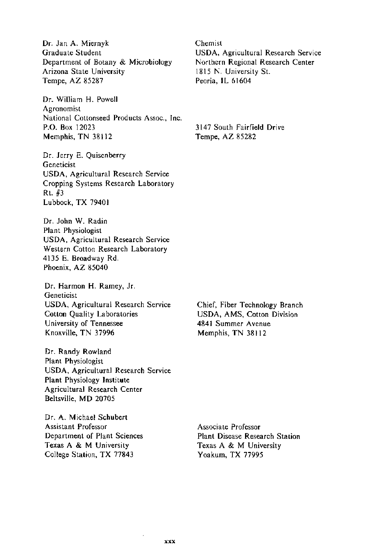Dr. Jan A. Miernyk Graduate Student Department of Botany & Microbiology Arizona State University Tempe, AZ 85287

Dr. William H. Powell Agronomist National Cottonseed Products Assoc., Inc. P.O. Box 12023 Memphis, TN 38112

Dr. Jerry E. Quisenberry Geneticist USDA, Agricultural Research Service Cropping Systems Research Laboratory Rt. #3 Lubbock, TX 79401

Dr. John W. Radin Plant Physiologist USDA, Agricultural Research Service Western Cotton Research Laboratory 4135 E. Broadway Rd. Phoenix, AZ 85040

Dr. Harmon H. Ramey, Jr. Geneticist USDA, Agricultural Research Service Cotton Quality Laboratories University of Tennessee Knoxville, TN 37996

Dr. Randy Rowland Plant Physiologist USDA, Agricultural Research Service Plant Physiology Institute Agricultural Research Center Beltsville, MD 20705

Dr. A. Michael Schubert Assistant Professor Department of Plant Sciences Texas A & M University College Station, TX 77843

Chemist USDA, Agricultural Research Service Northern Regional Research Center 1815 N. University St. Peoria, IL 61604

3147 South Fairfield Drive Tempe, AZ 85282

Chief, Fiber Technology Branch USDA, AMS, Cotton Division 4841 Summer Avenue Memphis, TN 38112

Associate Professor Plant Disease Research Station Texas A & M University Yoakum, TX 77995